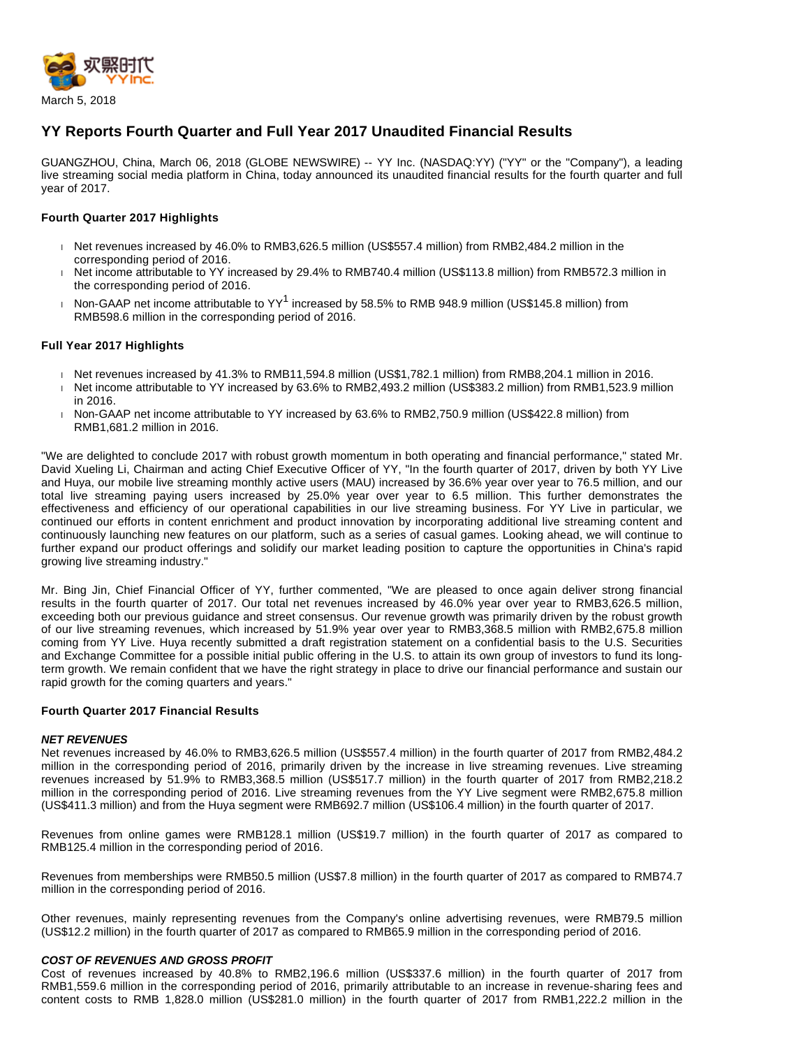

# **YY Reports Fourth Quarter and Full Year 2017 Unaudited Financial Results**

GUANGZHOU, China, March 06, 2018 (GLOBE NEWSWIRE) -- YY Inc. (NASDAQ:YY) ("YY" or the "Company"), a leading live streaming social media platform in China, today announced its unaudited financial results for the fourth quarter and full year of 2017.

## **Fourth Quarter 2017 Highlights**

- Net revenues increased by 46.0% to RMB3,626.5 million (US\$557.4 million) from RMB2,484.2 million in the corresponding period of 2016.
- Net income attributable to YY increased by 29.4% to RMB740.4 million (US\$113.8 million) from RMB572.3 million in the corresponding period of 2016.
- Non-GAAP net income attributable to YY<sup>1</sup> increased by 58.5% to RMB 948.9 million (US\$145.8 million) from RMB598.6 million in the corresponding period of 2016.

## **Full Year 2017 Highlights**

- Net revenues increased by 41.3% to RMB11,594.8 million (US\$1,782.1 million) from RMB8,204.1 million in 2016.
- Net income attributable to YY increased by 63.6% to RMB2,493.2 million (US\$383.2 million) from RMB1,523.9 million in 2016.
- Non-GAAP net income attributable to YY increased by 63.6% to RMB2,750.9 million (US\$422.8 million) from RMB1,681.2 million in 2016.

"We are delighted to conclude 2017 with robust growth momentum in both operating and financial performance," stated Mr. David Xueling Li, Chairman and acting Chief Executive Officer of YY, "In the fourth quarter of 2017, driven by both YY Live and Huya, our mobile live streaming monthly active users (MAU) increased by 36.6% year over year to 76.5 million, and our total live streaming paying users increased by 25.0% year over year to 6.5 million. This further demonstrates the effectiveness and efficiency of our operational capabilities in our live streaming business. For YY Live in particular, we continued our efforts in content enrichment and product innovation by incorporating additional live streaming content and continuously launching new features on our platform, such as a series of casual games. Looking ahead, we will continue to further expand our product offerings and solidify our market leading position to capture the opportunities in China's rapid growing live streaming industry."

Mr. Bing Jin, Chief Financial Officer of YY, further commented, "We are pleased to once again deliver strong financial results in the fourth quarter of 2017. Our total net revenues increased by 46.0% year over year to RMB3,626.5 million, exceeding both our previous guidance and street consensus. Our revenue growth was primarily driven by the robust growth of our live streaming revenues, which increased by 51.9% year over year to RMB3,368.5 million with RMB2,675.8 million coming from YY Live. Huya recently submitted a draft registration statement on a confidential basis to the U.S. Securities and Exchange Committee for a possible initial public offering in the U.S. to attain its own group of investors to fund its longterm growth. We remain confident that we have the right strategy in place to drive our financial performance and sustain our rapid growth for the coming quarters and years."

## **Fourth Quarter 2017 Financial Results**

## **NET REVENUES**

Net revenues increased by 46.0% to RMB3,626.5 million (US\$557.4 million) in the fourth quarter of 2017 from RMB2,484.2 million in the corresponding period of 2016, primarily driven by the increase in live streaming revenues. Live streaming revenues increased by 51.9% to RMB3,368.5 million (US\$517.7 million) in the fourth quarter of 2017 from RMB2,218.2 million in the corresponding period of 2016. Live streaming revenues from the YY Live segment were RMB2,675.8 million (US\$411.3 million) and from the Huya segment were RMB692.7 million (US\$106.4 million) in the fourth quarter of 2017.

Revenues from online games were RMB128.1 million (US\$19.7 million) in the fourth quarter of 2017 as compared to RMB125.4 million in the corresponding period of 2016.

Revenues from memberships were RMB50.5 million (US\$7.8 million) in the fourth quarter of 2017 as compared to RMB74.7 million in the corresponding period of 2016.

Other revenues, mainly representing revenues from the Company's online advertising revenues, were RMB79.5 million (US\$12.2 million) in the fourth quarter of 2017 as compared to RMB65.9 million in the corresponding period of 2016.

## **COST OF REVENUES AND GROSS PROFIT**

Cost of revenues increased by 40.8% to RMB2,196.6 million (US\$337.6 million) in the fourth quarter of 2017 from RMB1,559.6 million in the corresponding period of 2016, primarily attributable to an increase in revenue-sharing fees and content costs to RMB 1,828.0 million (US\$281.0 million) in the fourth quarter of 2017 from RMB1,222.2 million in the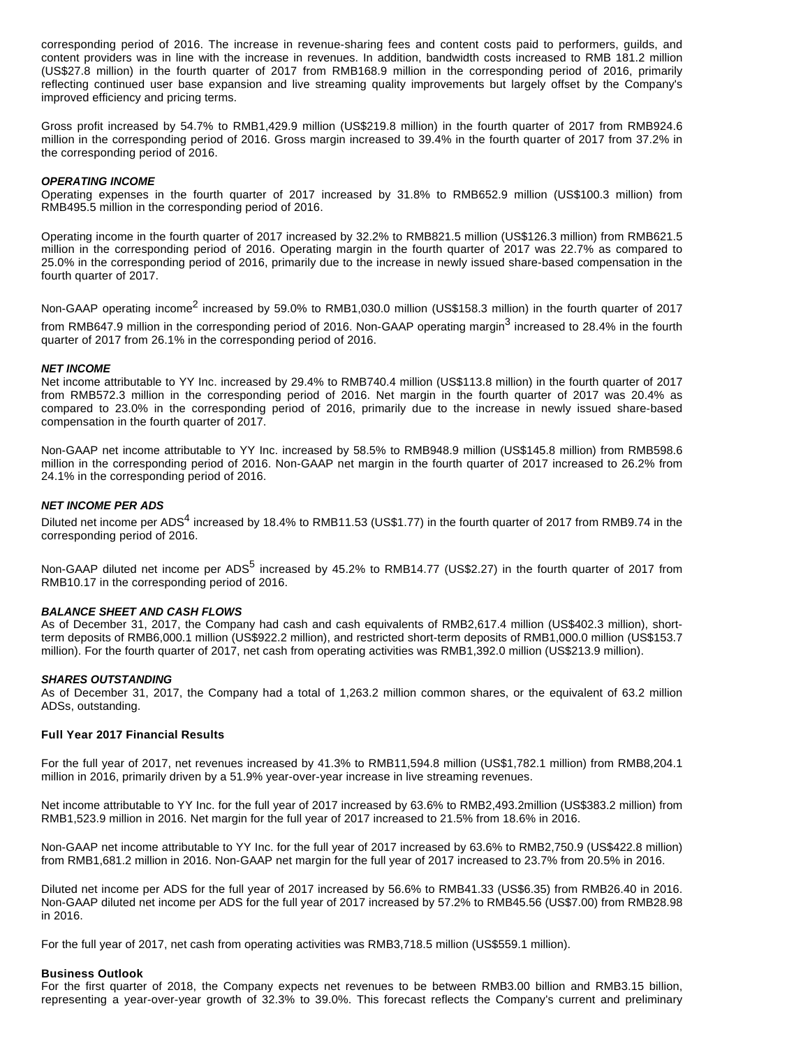corresponding period of 2016. The increase in revenue-sharing fees and content costs paid to performers, guilds, and content providers was in line with the increase in revenues. In addition, bandwidth costs increased to RMB 181.2 million (US\$27.8 million) in the fourth quarter of 2017 from RMB168.9 million in the corresponding period of 2016, primarily reflecting continued user base expansion and live streaming quality improvements but largely offset by the Company's improved efficiency and pricing terms.

Gross profit increased by 54.7% to RMB1,429.9 million (US\$219.8 million) in the fourth quarter of 2017 from RMB924.6 million in the corresponding period of 2016. Gross margin increased to 39.4% in the fourth quarter of 2017 from 37.2% in the corresponding period of 2016.

## **OPERATING INCOME**

Operating expenses in the fourth quarter of 2017 increased by 31.8% to RMB652.9 million (US\$100.3 million) from RMB495.5 million in the corresponding period of 2016.

Operating income in the fourth quarter of 2017 increased by 32.2% to RMB821.5 million (US\$126.3 million) from RMB621.5 million in the corresponding period of 2016. Operating margin in the fourth quarter of 2017 was 22.7% as compared to 25.0% in the corresponding period of 2016, primarily due to the increase in newly issued share-based compensation in the fourth quarter of 2017.

Non-GAAP operating income<sup>2</sup> increased by 59.0% to RMB1,030.0 million (US\$158.3 million) in the fourth quarter of 2017 from RMB647.9 million in the corresponding period of 2016. Non-GAAP operating margin<sup>3</sup> increased to 28.4% in the fourth quarter of 2017 from 26.1% in the corresponding period of 2016.

## **NET INCOME**

Net income attributable to YY Inc. increased by 29.4% to RMB740.4 million (US\$113.8 million) in the fourth quarter of 2017 from RMB572.3 million in the corresponding period of 2016. Net margin in the fourth quarter of 2017 was 20.4% as compared to 23.0% in the corresponding period of 2016, primarily due to the increase in newly issued share-based compensation in the fourth quarter of 2017.

Non-GAAP net income attributable to YY Inc. increased by 58.5% to RMB948.9 million (US\$145.8 million) from RMB598.6 million in the corresponding period of 2016. Non-GAAP net margin in the fourth quarter of 2017 increased to 26.2% from 24.1% in the corresponding period of 2016.

## **NET INCOME PER ADS**

Diluted net income per ADS<sup>4</sup> increased by 18.4% to RMB11.53 (US\$1.77) in the fourth quarter of 2017 from RMB9.74 in the corresponding period of 2016.

Non-GAAP diluted net income per ADS<sup>5</sup> increased by 45.2% to RMB14.77 (US\$2.27) in the fourth quarter of 2017 from RMB10.17 in the corresponding period of 2016.

## **BALANCE SHEET AND CASH FLOWS**

As of December 31, 2017, the Company had cash and cash equivalents of RMB2,617.4 million (US\$402.3 million), shortterm deposits of RMB6,000.1 million (US\$922.2 million), and restricted short-term deposits of RMB1,000.0 million (US\$153.7 million). For the fourth quarter of 2017, net cash from operating activities was RMB1,392.0 million (US\$213.9 million).

## **SHARES OUTSTANDING**

As of December 31, 2017, the Company had a total of 1,263.2 million common shares, or the equivalent of 63.2 million ADSs, outstanding.

## **Full Year 2017 Financial Results**

For the full year of 2017, net revenues increased by 41.3% to RMB11,594.8 million (US\$1,782.1 million) from RMB8,204.1 million in 2016, primarily driven by a 51.9% year-over-year increase in live streaming revenues.

Net income attributable to YY Inc. for the full year of 2017 increased by 63.6% to RMB2,493.2million (US\$383.2 million) from RMB1,523.9 million in 2016. Net margin for the full year of 2017 increased to 21.5% from 18.6% in 2016.

Non-GAAP net income attributable to YY Inc. for the full year of 2017 increased by 63.6% to RMB2,750.9 (US\$422.8 million) from RMB1,681.2 million in 2016. Non-GAAP net margin for the full year of 2017 increased to 23.7% from 20.5% in 2016.

Diluted net income per ADS for the full year of 2017 increased by 56.6% to RMB41.33 (US\$6.35) from RMB26.40 in 2016. Non-GAAP diluted net income per ADS for the full year of 2017 increased by 57.2% to RMB45.56 (US\$7.00) from RMB28.98 in 2016.

For the full year of 2017, net cash from operating activities was RMB3,718.5 million (US\$559.1 million).

## **Business Outlook**

For the first quarter of 2018, the Company expects net revenues to be between RMB3.00 billion and RMB3.15 billion, representing a year-over-year growth of 32.3% to 39.0%. This forecast reflects the Company's current and preliminary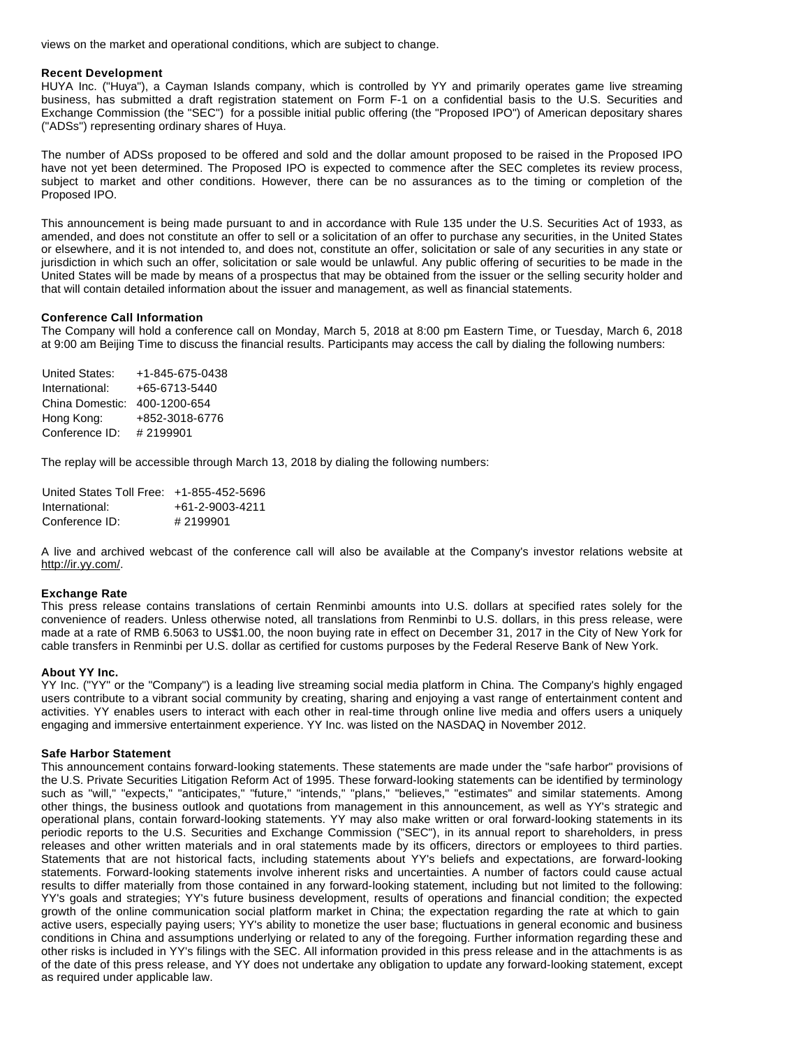views on the market and operational conditions, which are subject to change.

#### **Recent Development**

HUYA Inc. ("Huya"), a Cayman Islands company, which is controlled by YY and primarily operates game live streaming business, has submitted a draft registration statement on Form F-1 on a confidential basis to the U.S. Securities and Exchange Commission (the "SEC") for a possible initial public offering (the "Proposed IPO") of American depositary shares ("ADSs") representing ordinary shares of Huya.

The number of ADSs proposed to be offered and sold and the dollar amount proposed to be raised in the Proposed IPO have not yet been determined. The Proposed IPO is expected to commence after the SEC completes its review process, subject to market and other conditions. However, there can be no assurances as to the timing or completion of the Proposed IPO.

This announcement is being made pursuant to and in accordance with Rule 135 under the U.S. Securities Act of 1933, as amended, and does not constitute an offer to sell or a solicitation of an offer to purchase any securities, in the United States or elsewhere, and it is not intended to, and does not, constitute an offer, solicitation or sale of any securities in any state or jurisdiction in which such an offer, solicitation or sale would be unlawful. Any public offering of securities to be made in the United States will be made by means of a prospectus that may be obtained from the issuer or the selling security holder and that will contain detailed information about the issuer and management, as well as financial statements.

#### **Conference Call Information**

The Company will hold a conference call on Monday, March 5, 2018 at 8:00 pm Eastern Time, or Tuesday, March 6, 2018 at 9:00 am Beijing Time to discuss the financial results. Participants may access the call by dialing the following numbers:

| <b>United States:</b> | +1-845-675-0438 |
|-----------------------|-----------------|
| International:        | +65-6713-5440   |
| China Domestic:       | 400-1200-654    |
| Hong Kong:            | +852-3018-6776  |
| Conference ID:        | #2199901        |

The replay will be accessible through March 13, 2018 by dialing the following numbers:

| United States Toll Free: +1-855-452-5696 |                 |
|------------------------------------------|-----------------|
| International:                           | +61-2-9003-4211 |
| Conference ID:                           | #2199901        |

A live and archived webcast of the conference call will also be available at the Company's investor relations website at http://ir.yy.com/.

#### **Exchange Rate**

This press release contains translations of certain Renminbi amounts into U.S. dollars at specified rates solely for the convenience of readers. Unless otherwise noted, all translations from Renminbi to U.S. dollars, in this press release, were made at a rate of RMB 6.5063 to US\$1.00, the noon buying rate in effect on December 31, 2017 in the City of New York for cable transfers in Renminbi per U.S. dollar as certified for customs purposes by the Federal Reserve Bank of New York.

#### **About YY Inc.**

YY Inc. ("YY" or the "Company") is a leading live streaming social media platform in China. The Company's highly engaged users contribute to a vibrant social community by creating, sharing and enjoying a vast range of entertainment content and activities. YY enables users to interact with each other in real-time through online live media and offers users a uniquely engaging and immersive entertainment experience. YY Inc. was listed on the NASDAQ in November 2012.

#### **Safe Harbor Statement**

This announcement contains forward-looking statements. These statements are made under the "safe harbor" provisions of the U.S. Private Securities Litigation Reform Act of 1995. These forward-looking statements can be identified by terminology such as "will," "expects," "anticipates," "future," "intends," "plans," "believes," "estimates" and similar statements. Among other things, the business outlook and quotations from management in this announcement, as well as YY's strategic and operational plans, contain forward-looking statements. YY may also make written or oral forward-looking statements in its periodic reports to the U.S. Securities and Exchange Commission ("SEC"), in its annual report to shareholders, in press releases and other written materials and in oral statements made by its officers, directors or employees to third parties. Statements that are not historical facts, including statements about YY's beliefs and expectations, are forward-looking statements. Forward-looking statements involve inherent risks and uncertainties. A number of factors could cause actual results to differ materially from those contained in any forward-looking statement, including but not limited to the following: YY's goals and strategies; YY's future business development, results of operations and financial condition; the expected growth of the online communication social platform market in China; the expectation regarding the rate at which to gain active users, especially paying users; YY's ability to monetize the user base; fluctuations in general economic and business conditions in China and assumptions underlying or related to any of the foregoing. Further information regarding these and other risks is included in YY's filings with the SEC. All information provided in this press release and in the attachments is as of the date of this press release, and YY does not undertake any obligation to update any forward-looking statement, except as required under applicable law.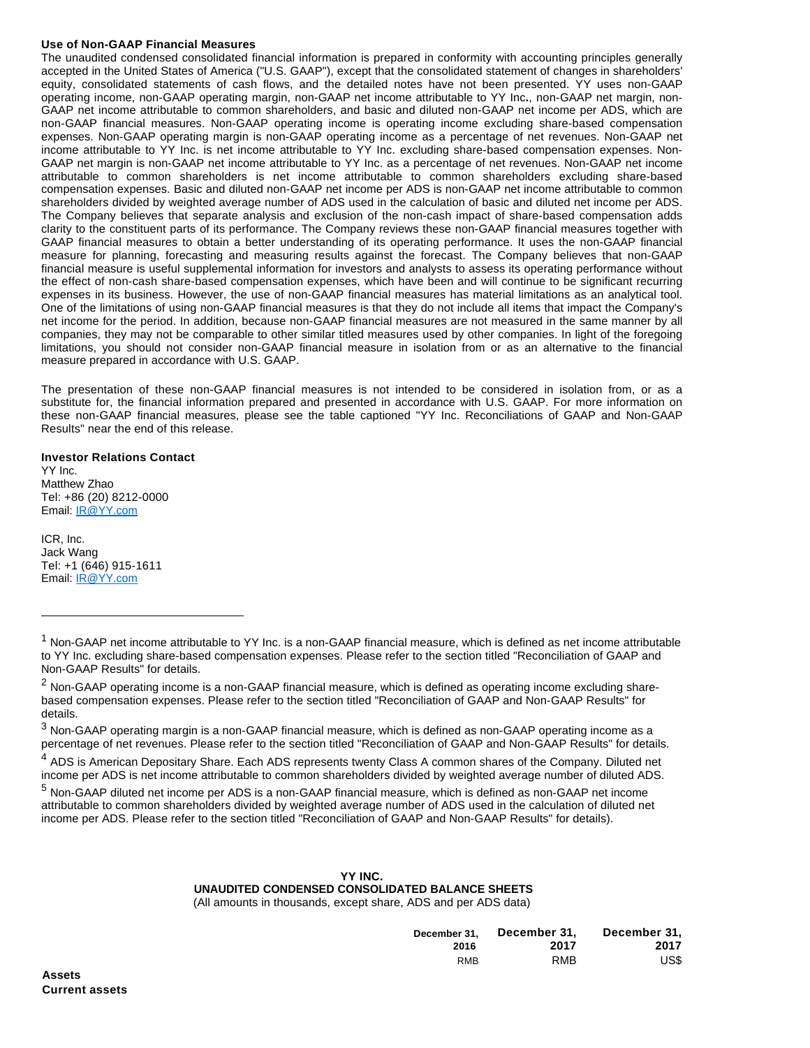## **Use of Non-GAAP Financial Measures**

The unaudited condensed consolidated financial information is prepared in conformity with accounting principles generally accepted in the United States of America ("U.S. GAAP"), except that the consolidated statement of changes in shareholders' equity, consolidated statements of cash flows, and the detailed notes have not been presented. YY uses non-GAAP operating income, non-GAAP operating margin, non-GAAP net income attributable to YY Inc**.**, non-GAAP net margin, non-GAAP net income attributable to common shareholders, and basic and diluted non-GAAP net income per ADS, which are non-GAAP financial measures. Non-GAAP operating income is operating income excluding share-based compensation expenses. Non-GAAP operating margin is non-GAAP operating income as a percentage of net revenues. Non-GAAP net income attributable to YY Inc. is net income attributable to YY Inc. excluding share-based compensation expenses. Non-GAAP net margin is non-GAAP net income attributable to YY Inc. as a percentage of net revenues. Non-GAAP net income attributable to common shareholders is net income attributable to common shareholders excluding share-based compensation expenses. Basic and diluted non-GAAP net income per ADS is non-GAAP net income attributable to common shareholders divided by weighted average number of ADS used in the calculation of basic and diluted net income per ADS. The Company believes that separate analysis and exclusion of the non-cash impact of share-based compensation adds clarity to the constituent parts of its performance. The Company reviews these non-GAAP financial measures together with GAAP financial measures to obtain a better understanding of its operating performance. It uses the non-GAAP financial measure for planning, forecasting and measuring results against the forecast. The Company believes that non-GAAP financial measure is useful supplemental information for investors and analysts to assess its operating performance without the effect of non-cash share-based compensation expenses, which have been and will continue to be significant recurring expenses in its business. However, the use of non-GAAP financial measures has material limitations as an analytical tool. One of the limitations of using non-GAAP financial measures is that they do not include all items that impact the Company's net income for the period. In addition, because non-GAAP financial measures are not measured in the same manner by all companies, they may not be comparable to other similar titled measures used by other companies. In light of the foregoing limitations, you should not consider non-GAAP financial measure in isolation from or as an alternative to the financial measure prepared in accordance with U.S. GAAP.

The presentation of these non-GAAP financial measures is not intended to be considered in isolation from, or as a substitute for, the financial information prepared and presented in accordance with U.S. GAAP. For more information on these non-GAAP financial measures, please see the table captioned "YY Inc. Reconciliations of GAAP and Non-GAAP Results" near the end of this release.

**Investor Relations Contact** YY Inc. Matthew Zhao Tel: +86 (20) 8212-0000 Email: [IR@YY.com](https://www.globenewswire.com/Tracker?data=p90Sw2N0YgCz_BGHyHFUFjZE1J_s2egrUKR7gjv5q8bN1NVYcutAGvhmu_Ef4Ddp)

ICR, Inc. Jack Wang Tel: +1 (646) 915-1611 Email: [IR@YY.com](https://www.globenewswire.com/Tracker?data=p90Sw2N0YgCz_BGHyHFUFpzyaXS7kbzOmtz8dVtG14RaQefixflluhv33ESzHhB0)

<sup>5</sup> Non-GAAP diluted net income per ADS is a non-GAAP financial measure, which is defined as non-GAAP net income attributable to common shareholders divided by weighted average number of ADS used in the calculation of diluted net income per ADS. Please refer to the section titled "Reconciliation of GAAP and Non-GAAP Results" for details).

## **YY INC.**

 **UNAUDITED CONDENSED CONSOLIDATED BALANCE SHEETS** (All amounts in thousands, except share, ADS and per ADS data)

| December 31. | December 31. | December 31. |
|--------------|--------------|--------------|
| 2016         | 2017         | 2017         |
| <b>RMB</b>   | <b>RMB</b>   | US\$         |

<sup>&</sup>lt;sup>1</sup> Non-GAAP net income attributable to YY Inc. is a non-GAAP financial measure, which is defined as net income attributable to YY Inc. excluding share-based compensation expenses. Please refer to the section titled "Reconciliation of GAAP and Non-GAAP Results" for details.

 $^2$  Non-GAAP operating income is a non-GAAP financial measure, which is defined as operating income excluding sharebased compensation expenses. Please refer to the section titled "Reconciliation of GAAP and Non-GAAP Results" for details.

 $^3$  Non-GAAP operating margin is a non-GAAP financial measure, which is defined as non-GAAP operating income as a percentage of net revenues. Please refer to the section titled "Reconciliation of GAAP and Non-GAAP Results" for details.

<sup>&</sup>lt;sup>4</sup> ADS is American Depositary Share. Each ADS represents twenty Class A common shares of the Company. Diluted net income per ADS is net income attributable to common shareholders divided by weighted average number of diluted ADS.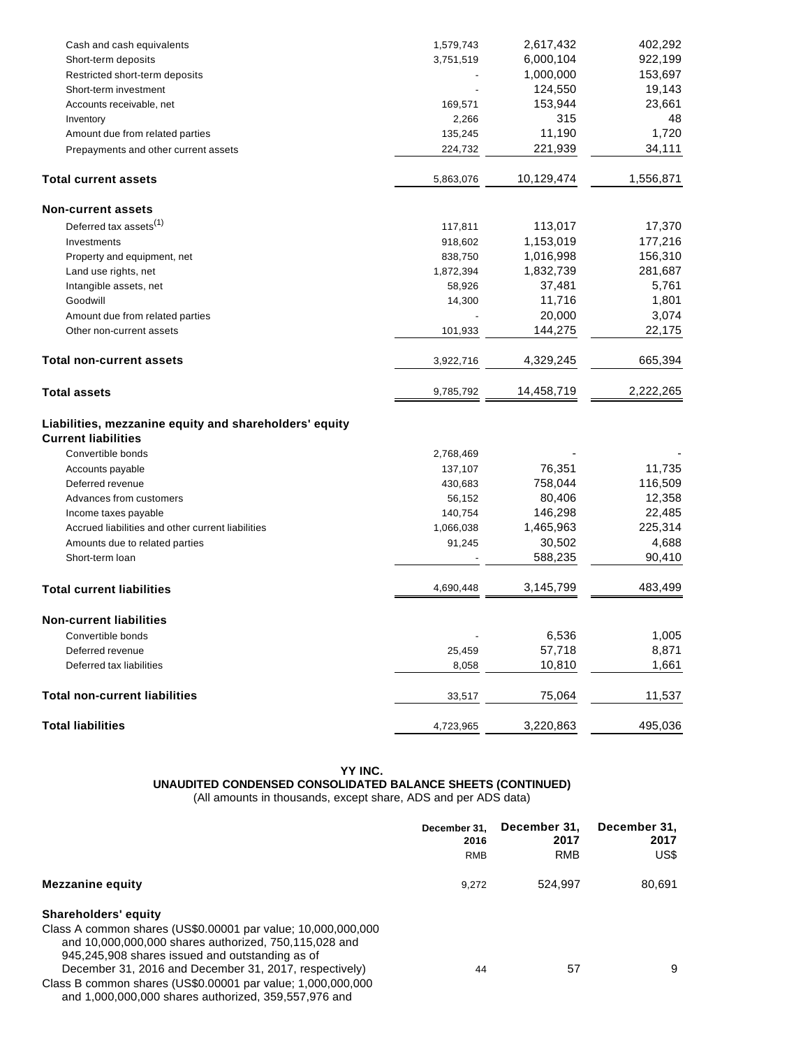| Cash and cash equivalents                              | 1,579,743      | 2,617,432  | 402,292   |
|--------------------------------------------------------|----------------|------------|-----------|
| Short-term deposits                                    | 3,751,519      | 6,000,104  | 922,199   |
| Restricted short-term deposits                         |                | 1,000,000  | 153,697   |
| Short-term investment                                  |                | 124,550    | 19,143    |
| Accounts receivable, net                               | 169,571        | 153,944    | 23,661    |
| Inventory                                              | 2,266          | 315        | 48        |
| Amount due from related parties                        | 135,245        | 11,190     | 1,720     |
| Prepayments and other current assets                   | 224,732        | 221,939    | 34,111    |
| <b>Total current assets</b>                            | 5,863,076      | 10,129,474 | 1,556,871 |
| <b>Non-current assets</b>                              |                |            |           |
| Deferred tax assets <sup>(1)</sup>                     | 117,811        | 113,017    | 17,370    |
| Investments                                            | 918,602        | 1,153,019  | 177,216   |
| Property and equipment, net                            | 838,750        | 1,016,998  | 156,310   |
| Land use rights, net                                   | 1,872,394      | 1,832,739  | 281,687   |
| Intangible assets, net                                 | 58,926         | 37,481     | 5,761     |
| Goodwill                                               | 14,300         | 11,716     | 1,801     |
| Amount due from related parties                        |                | 20,000     | 3,074     |
| Other non-current assets                               | 101,933        | 144,275    | 22,175    |
| <b>Total non-current assets</b>                        | 3,922,716      | 4,329,245  | 665,394   |
| <b>Total assets</b>                                    | 9,785,792      | 14,458,719 | 2,222,265 |
| Liabilities, mezzanine equity and shareholders' equity |                |            |           |
| <b>Current liabilities</b>                             |                |            |           |
| Convertible bonds                                      | 2,768,469      |            |           |
| Accounts payable                                       | 137,107        | 76,351     | 11,735    |
| Deferred revenue                                       | 430,683        | 758,044    | 116,509   |
| Advances from customers                                | 56,152         | 80,406     | 12,358    |
| Income taxes payable                                   | 140,754        | 146,298    | 22,485    |
| Accrued liabilities and other current liabilities      | 1,066,038      | 1,465,963  | 225,314   |
| Amounts due to related parties                         | 91,245         | 30,502     | 4,688     |
| Short-term loan                                        |                | 588,235    | 90,410    |
| <b>Total current liabilities</b>                       | 4,690,448      | 3,145,799  | 483,499   |
| <b>Non-current liabilities</b>                         |                |            |           |
| Convertible bonds                                      | $\overline{a}$ | 6,536      | 1,005     |
| Deferred revenue                                       | 25,459         | 57,718     | 8,871     |
| Deferred tax liabilities                               | 8,058          | 10,810     | 1,661     |
| <b>Total non-current liabilities</b>                   | 33,517         | 75,064     | 11,537    |
| <b>Total liabilities</b>                               | 4,723,965      | 3,220,863  | 495,036   |
|                                                        |                |            |           |

# **YY INC. UNAUDITED CONDENSED CONSOLIDATED BALANCE SHEETS (CONTINUED)**

(All amounts in thousands, except share, ADS and per ADS data)

|                                                                                                                       | December 31.<br>2016 | December 31,<br>2017 | December 31,<br>2017 |
|-----------------------------------------------------------------------------------------------------------------------|----------------------|----------------------|----------------------|
|                                                                                                                       | <b>RMB</b>           | <b>RMB</b>           | US\$                 |
| Mezzanine equity                                                                                                      | 9.272                | 524.997              | 80,691               |
| Shareholders' equity                                                                                                  |                      |                      |                      |
| Class A common shares (US\$0.00001 par value: 10,000,000,000<br>and 10,000,000,000 shares authorized, 750,115,028 and |                      |                      |                      |
| 945,245,908 shares issued and outstanding as of                                                                       |                      |                      |                      |
| December 31, 2016 and December 31, 2017, respectively)                                                                | 44                   | 57                   | 9                    |
| Class B common shares (US\$0.00001 par value; 1,000,000,000<br>and 1,000,000,000 shares authorized, 359,557,976 and   |                      |                      |                      |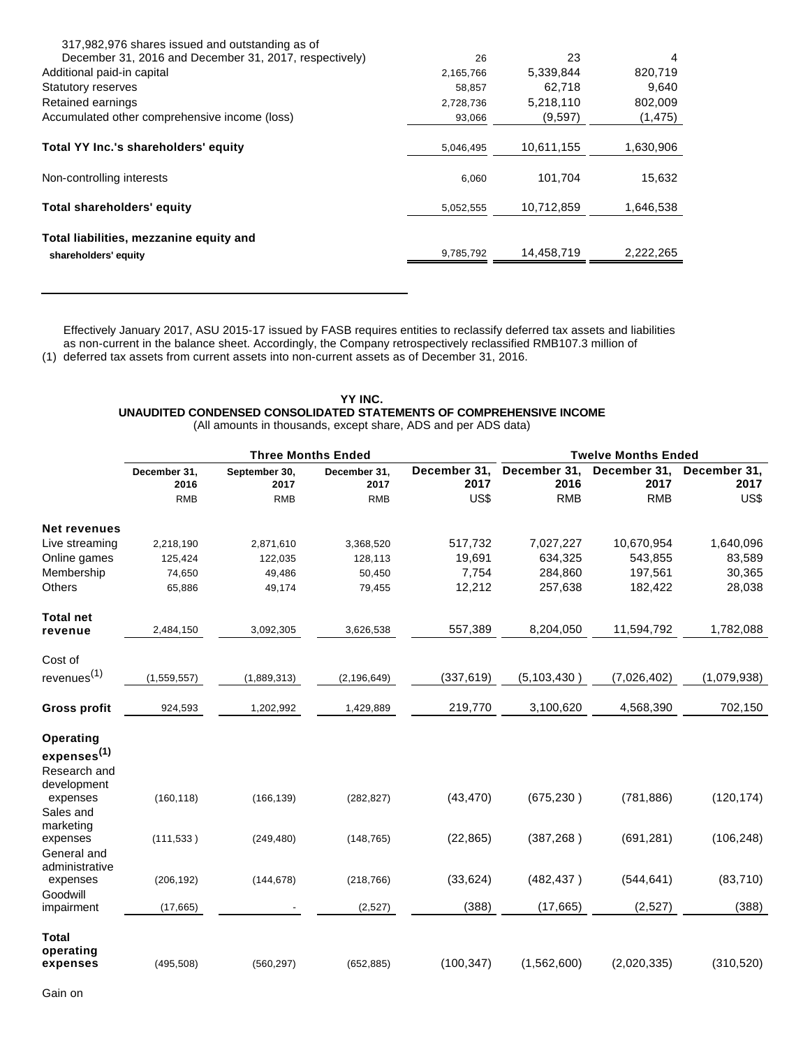| 317,982,976 shares issued and outstanding as of        |           |            |           |
|--------------------------------------------------------|-----------|------------|-----------|
| December 31, 2016 and December 31, 2017, respectively) | 26        | 23         | 4         |
| Additional paid-in capital                             | 2,165,766 | 5,339,844  | 820,719   |
| <b>Statutory reserves</b>                              | 58,857    | 62.718     | 9,640     |
| Retained earnings                                      | 2,728,736 | 5,218,110  | 802,009   |
| Accumulated other comprehensive income (loss)          | 93,066    | (9,597)    | (1, 475)  |
|                                                        |           |            |           |
| Total YY Inc.'s shareholders' equity                   | 5,046,495 | 10,611,155 | 1,630,906 |
| Non-controlling interests                              | 6,060     | 101,704    | 15,632    |
| Total shareholders' equity                             | 5,052,555 | 10,712,859 | 1,646,538 |
| Total liabilities, mezzanine equity and                |           |            |           |
| shareholders' equity                                   | 9,785,792 | 14,458,719 | 2,222,265 |
|                                                        |           |            |           |

(1) deferred tax assets from current assets into non-current assets as of December 31, 2016. Effectively January 2017, ASU 2015-17 issued by FASB requires entities to reclassify deferred tax assets and liabilities as non-current in the balance sheet. Accordingly, the Company retrospectively reclassified RMB107.3 million of

## **YY INC. UNAUDITED CONDENSED CONSOLIDATED STATEMENTS OF COMPREHENSIVE INCOME** (All amounts in thousands, except share, ADS and per ADS data)

|                         | <b>Three Months Ended</b> |                       |                      |                      |                      | <b>Twelve Months Ended</b> |                      |
|-------------------------|---------------------------|-----------------------|----------------------|----------------------|----------------------|----------------------------|----------------------|
|                         | December 31,<br>2016      | September 30,<br>2017 | December 31.<br>2017 | December 31,<br>2017 | December 31,<br>2016 | December 31,<br>2017       | December 31,<br>2017 |
|                         | <b>RMB</b>                | <b>RMB</b>            | <b>RMB</b>           | US\$                 | <b>RMB</b>           | <b>RMB</b>                 | US\$                 |
| <b>Net revenues</b>     |                           |                       |                      |                      |                      |                            |                      |
| Live streaming          | 2,218,190                 | 2,871,610             | 3,368,520            | 517,732              | 7,027,227            | 10,670,954                 | 1,640,096            |
| Online games            | 125,424                   | 122,035               | 128,113              | 19,691               | 634,325              | 543,855                    | 83,589               |
| Membership              | 74,650                    | 49,486                | 50,450               | 7,754                | 284,860              | 197,561                    | 30,365               |
| Others                  | 65,886                    | 49,174                | 79,455               | 12,212               | 257,638              | 182,422                    | 28,038               |
| <b>Total net</b>        |                           |                       |                      |                      |                      |                            |                      |
| revenue                 | 2,484,150                 | 3,092,305             | 3,626,538            | 557,389              | 8,204,050            | 11,594,792                 | 1,782,088            |
| Cost of                 |                           |                       |                      |                      |                      |                            |                      |
| revenues <sup>(1)</sup> | (1, 559, 557)             | (1,889,313)           | (2, 196, 649)        | (337, 619)           | (5, 103, 430)        | (7,026,402)                | (1,079,938)          |
| <b>Gross profit</b>     | 924,593                   | 1,202,992             | 1,429,889            | 219,770              | 3,100,620            | 4,568,390                  | 702,150              |
| Operating               |                           |                       |                      |                      |                      |                            |                      |
| expenses <sup>(1)</sup> |                           |                       |                      |                      |                      |                            |                      |
| Research and            |                           |                       |                      |                      |                      |                            |                      |
| development             |                           |                       |                      |                      |                      |                            |                      |
| expenses                | (160, 118)                | (166, 139)            | (282, 827)           | (43, 470)            | (675, 230)           | (781, 886)                 | (120, 174)           |
| Sales and<br>marketing  |                           |                       |                      |                      |                      |                            |                      |
| expenses                | (111, 533)                | (249, 480)            | (148, 765)           | (22, 865)            | (387, 268)           | (691, 281)                 | (106, 248)           |
| General and             |                           |                       |                      |                      |                      |                            |                      |
| administrative          |                           |                       |                      |                      |                      |                            |                      |
| expenses                | (206, 192)                | (144, 678)            | (218, 766)           | (33, 624)            | (482, 437)           | (544, 641)                 | (83, 710)            |
| Goodwill                |                           |                       |                      |                      |                      |                            |                      |
| impairment              | (17, 665)                 |                       | (2,527)              | (388)                | (17, 665)            | (2, 527)                   | (388)                |
| <b>Total</b>            |                           |                       |                      |                      |                      |                            |                      |
| operating               |                           |                       |                      |                      |                      |                            |                      |
| expenses                | (495, 508)                | (560, 297)            | (652, 885)           | (100, 347)           | (1,562,600)          | (2,020,335)                | (310, 520)           |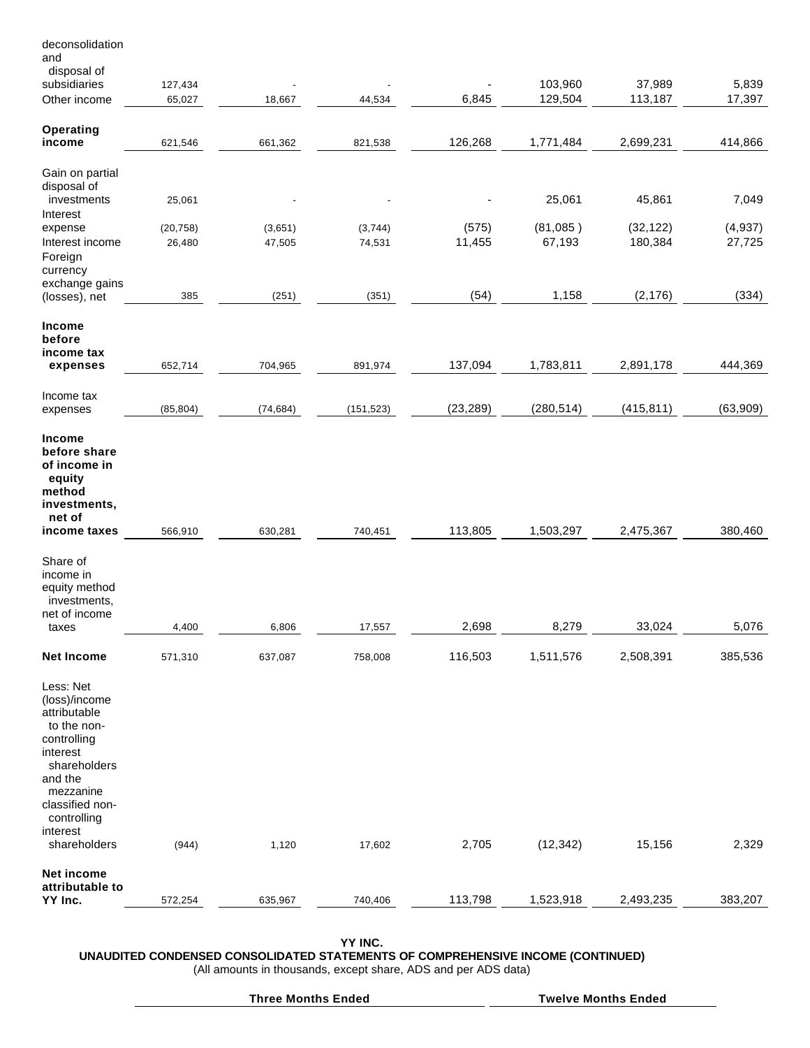| disposal of<br>subsidiaries<br>103,960<br>37,989<br>127,434<br>6,845<br>129,504<br>113,187<br>Other income<br>65,027<br>44,534<br>18,667<br>Operating<br>126,268<br>income<br>1,771,484<br>2,699,231<br>621,546<br>661,362<br>821,538<br>Gain on partial<br>disposal of<br>investments<br>25,061<br>45,861<br>25,061<br>Interest<br>(575)<br>(81,085)<br>(32, 122)<br>(20, 758)<br>(3,651)<br>(3,744)<br>expense<br>11,455<br>67,193<br>180,384<br>Interest income<br>26,480<br>47,505<br>74,531<br>Foreign<br>currency<br>exchange gains<br>(54)<br>1,158<br>(2, 176)<br>(251)<br>385<br>(351)<br>(losses), net<br>Income<br>before<br>income tax<br>137,094<br>1,783,811<br>2,891,178<br>704,965<br>expenses<br>652,714<br>891,974<br>Income tax<br>(23, 289)<br>(280, 514)<br>(415, 811)<br>(85, 804)<br>(74, 684)<br>(151, 523)<br>expenses<br>Income<br>before share<br>of income in<br>equity<br>method<br>investments,<br>net of<br>113,805<br>1,503,297<br>2,475,367<br>income taxes<br>566,910<br>630,281<br>740,451<br>Share of<br>income in<br>equity method | 5,839<br>17,397<br>414,866<br>7,049<br>(4,937)<br>27,725<br>(334) |
|-------------------------------------------------------------------------------------------------------------------------------------------------------------------------------------------------------------------------------------------------------------------------------------------------------------------------------------------------------------------------------------------------------------------------------------------------------------------------------------------------------------------------------------------------------------------------------------------------------------------------------------------------------------------------------------------------------------------------------------------------------------------------------------------------------------------------------------------------------------------------------------------------------------------------------------------------------------------------------------------------------------------------------------------------------------------------|-------------------------------------------------------------------|
|                                                                                                                                                                                                                                                                                                                                                                                                                                                                                                                                                                                                                                                                                                                                                                                                                                                                                                                                                                                                                                                                         |                                                                   |
|                                                                                                                                                                                                                                                                                                                                                                                                                                                                                                                                                                                                                                                                                                                                                                                                                                                                                                                                                                                                                                                                         |                                                                   |
|                                                                                                                                                                                                                                                                                                                                                                                                                                                                                                                                                                                                                                                                                                                                                                                                                                                                                                                                                                                                                                                                         |                                                                   |
|                                                                                                                                                                                                                                                                                                                                                                                                                                                                                                                                                                                                                                                                                                                                                                                                                                                                                                                                                                                                                                                                         |                                                                   |
|                                                                                                                                                                                                                                                                                                                                                                                                                                                                                                                                                                                                                                                                                                                                                                                                                                                                                                                                                                                                                                                                         |                                                                   |
|                                                                                                                                                                                                                                                                                                                                                                                                                                                                                                                                                                                                                                                                                                                                                                                                                                                                                                                                                                                                                                                                         |                                                                   |
|                                                                                                                                                                                                                                                                                                                                                                                                                                                                                                                                                                                                                                                                                                                                                                                                                                                                                                                                                                                                                                                                         |                                                                   |
|                                                                                                                                                                                                                                                                                                                                                                                                                                                                                                                                                                                                                                                                                                                                                                                                                                                                                                                                                                                                                                                                         |                                                                   |
|                                                                                                                                                                                                                                                                                                                                                                                                                                                                                                                                                                                                                                                                                                                                                                                                                                                                                                                                                                                                                                                                         |                                                                   |
|                                                                                                                                                                                                                                                                                                                                                                                                                                                                                                                                                                                                                                                                                                                                                                                                                                                                                                                                                                                                                                                                         |                                                                   |
|                                                                                                                                                                                                                                                                                                                                                                                                                                                                                                                                                                                                                                                                                                                                                                                                                                                                                                                                                                                                                                                                         |                                                                   |
|                                                                                                                                                                                                                                                                                                                                                                                                                                                                                                                                                                                                                                                                                                                                                                                                                                                                                                                                                                                                                                                                         |                                                                   |
|                                                                                                                                                                                                                                                                                                                                                                                                                                                                                                                                                                                                                                                                                                                                                                                                                                                                                                                                                                                                                                                                         |                                                                   |
|                                                                                                                                                                                                                                                                                                                                                                                                                                                                                                                                                                                                                                                                                                                                                                                                                                                                                                                                                                                                                                                                         |                                                                   |
|                                                                                                                                                                                                                                                                                                                                                                                                                                                                                                                                                                                                                                                                                                                                                                                                                                                                                                                                                                                                                                                                         | 444,369                                                           |
|                                                                                                                                                                                                                                                                                                                                                                                                                                                                                                                                                                                                                                                                                                                                                                                                                                                                                                                                                                                                                                                                         |                                                                   |
|                                                                                                                                                                                                                                                                                                                                                                                                                                                                                                                                                                                                                                                                                                                                                                                                                                                                                                                                                                                                                                                                         | (63,909)                                                          |
|                                                                                                                                                                                                                                                                                                                                                                                                                                                                                                                                                                                                                                                                                                                                                                                                                                                                                                                                                                                                                                                                         |                                                                   |
|                                                                                                                                                                                                                                                                                                                                                                                                                                                                                                                                                                                                                                                                                                                                                                                                                                                                                                                                                                                                                                                                         | 380,460                                                           |
| investments,<br>net of income<br>2,698<br>8,279<br>33,024<br>4,400<br>6,806<br>17,557<br>taxes                                                                                                                                                                                                                                                                                                                                                                                                                                                                                                                                                                                                                                                                                                                                                                                                                                                                                                                                                                          | 5,076                                                             |
| 116,503<br>2,508,391<br><b>Net Income</b><br>1,511,576<br>571,310<br>637,087<br>758,008                                                                                                                                                                                                                                                                                                                                                                                                                                                                                                                                                                                                                                                                                                                                                                                                                                                                                                                                                                                 | 385,536                                                           |
| Less: Net<br>(loss)/income<br>attributable<br>to the non-<br>controlling<br>interest<br>shareholders<br>and the<br>mezzanine<br>classified non-<br>controlling<br>interest<br>15,156<br>shareholders<br>2,705<br>(12, 342)<br>(944)<br>1,120<br>17,602                                                                                                                                                                                                                                                                                                                                                                                                                                                                                                                                                                                                                                                                                                                                                                                                                  | 2,329                                                             |
|                                                                                                                                                                                                                                                                                                                                                                                                                                                                                                                                                                                                                                                                                                                                                                                                                                                                                                                                                                                                                                                                         |                                                                   |
| Net income<br>attributable to<br>113,798<br>1,523,918<br>2,493,235<br>YY Inc.<br>572,254<br>635,967<br>740,406                                                                                                                                                                                                                                                                                                                                                                                                                                                                                                                                                                                                                                                                                                                                                                                                                                                                                                                                                          | 383,207                                                           |

deconsolidation

**YY INC.**

# **UNAUDITED CONDENSED CONSOLIDATED STATEMENTS OF COMPREHENSIVE INCOME (CONTINUED)**

(All amounts in thousands, except share, ADS and per ADS data)

**Three Months Ended Twelve Months Ended**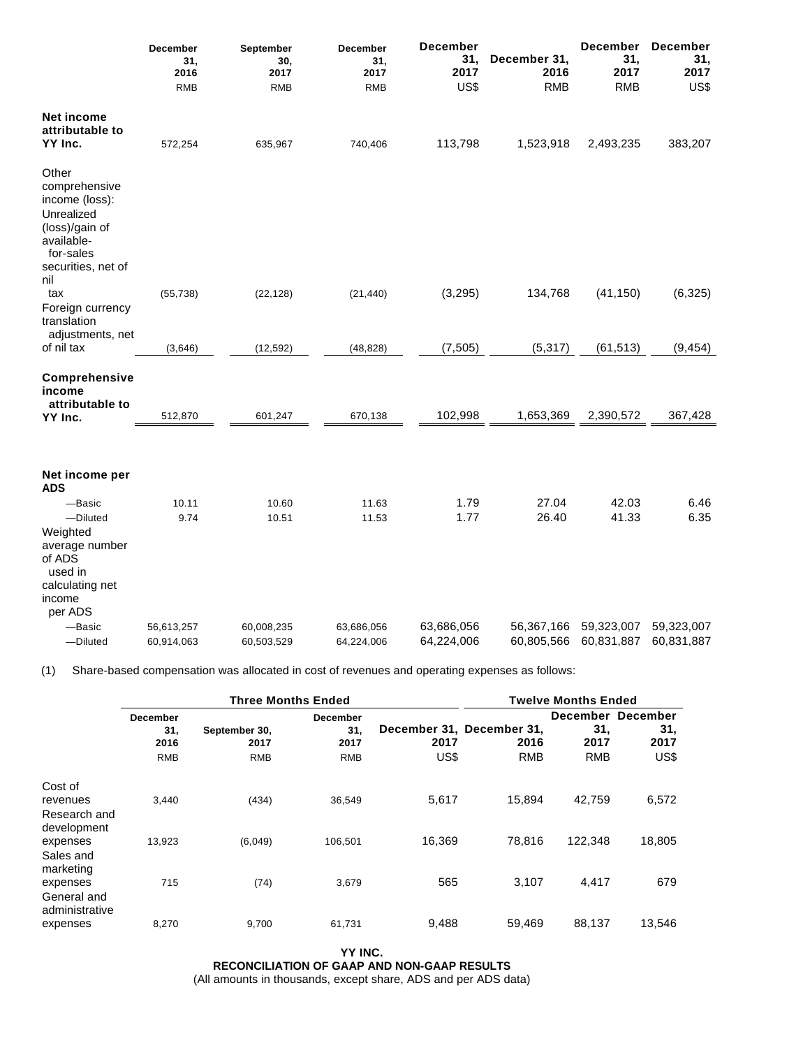|                                                                                                                                  | December<br>31,<br>2016<br><b>RMB</b> | September<br>30,<br>2017<br><b>RMB</b> | <b>December</b><br>31,<br>2017<br><b>RMB</b> | <b>December</b><br>31,<br>2017<br>US\$ | December 31,<br>2016<br><b>RMB</b> | <b>December</b><br>31,<br>2017<br><b>RMB</b> | <b>December</b><br>31,<br>2017<br>US\$ |
|----------------------------------------------------------------------------------------------------------------------------------|---------------------------------------|----------------------------------------|----------------------------------------------|----------------------------------------|------------------------------------|----------------------------------------------|----------------------------------------|
| <b>Net income</b><br>attributable to<br>YY Inc.                                                                                  | 572,254                               | 635,967                                | 740,406                                      | 113,798                                | 1,523,918                          | 2,493,235                                    | 383,207                                |
| Other<br>comprehensive<br>income (loss):<br>Unrealized<br>(loss)/gain of<br>available-<br>for-sales<br>securities, net of<br>nil |                                       |                                        |                                              |                                        |                                    |                                              |                                        |
| tax<br>Foreign currency<br>translation                                                                                           | (55, 738)                             | (22, 128)                              | (21, 440)                                    | (3, 295)                               | 134,768                            | (41, 150)                                    | (6, 325)                               |
| adjustments, net<br>of nil tax                                                                                                   | (3,646)                               | (12, 592)                              | (48, 828)                                    | (7, 505)                               | (5, 317)                           | (61, 513)                                    | (9, 454)                               |
| Comprehensive<br>income<br>attributable to<br>YY Inc.                                                                            | 512,870                               | 601,247                                | 670,138                                      | 102,998                                | 1,653,369                          | 2,390,572                                    | 367,428                                |
| Net income per<br><b>ADS</b>                                                                                                     |                                       |                                        |                                              |                                        |                                    |                                              |                                        |
| -Basic                                                                                                                           | 10.11                                 | 10.60                                  | 11.63                                        | 1.79                                   | 27.04                              | 42.03                                        | 6.46                                   |
| -Diluted                                                                                                                         | 9.74                                  | 10.51                                  | 11.53                                        | 1.77                                   | 26.40                              | 41.33                                        | 6.35                                   |
| Weighted<br>average number<br>of ADS<br>used in<br>calculating net                                                               |                                       |                                        |                                              |                                        |                                    |                                              |                                        |
| income                                                                                                                           |                                       |                                        |                                              |                                        |                                    |                                              |                                        |
| per ADS                                                                                                                          |                                       |                                        |                                              |                                        |                                    |                                              |                                        |
| -Basic<br>-Diluted                                                                                                               | 56,613,257<br>60,914,063              | 60,008,235<br>60,503,529               | 63,686,056<br>64,224,006                     | 63,686,056<br>64,224,006               | 56,367,166<br>60,805,566           | 59,323,007<br>60,831,887                     | 59,323,007<br>60,831,887               |

(1) Share-based compensation was allocated in cost of revenues and operating expenses as follows:

|                                                    | <b>Three Months Ended</b>                    |                                     |                                              |              |                                                 | <b>Twelve Months Ended</b> |                                          |
|----------------------------------------------------|----------------------------------------------|-------------------------------------|----------------------------------------------|--------------|-------------------------------------------------|----------------------------|------------------------------------------|
|                                                    | <b>December</b><br>31,<br>2016<br><b>RMB</b> | September 30,<br>2017<br><b>RMB</b> | <b>December</b><br>31.<br>2017<br><b>RMB</b> | 2017<br>US\$ | December 31, December 31,<br>2016<br><b>RMB</b> | 31.<br>2017<br><b>RMB</b>  | December December<br>31,<br>2017<br>US\$ |
| Cost of<br>revenues<br>Research and<br>development | 3,440                                        | (434)                               | 36,549                                       | 5,617        | 15,894                                          | 42,759                     | 6,572                                    |
| expenses<br>Sales and<br>marketing                 | 13,923                                       | (6,049)                             | 106.501                                      | 16.369       | 78.816                                          | 122.348                    | 18,805                                   |
| expenses<br>General and<br>administrative          | 715                                          | (74)                                | 3,679                                        | 565          | 3,107                                           | 4,417                      | 679                                      |
| expenses                                           | 8,270                                        | 9,700                               | 61,731                                       | 9,488        | 59,469                                          | 88,137                     | 13,546                                   |

**YY INC. RECONCILIATION OF GAAP AND NON-GAAP RESULTS** (All amounts in thousands, except share, ADS and per ADS data)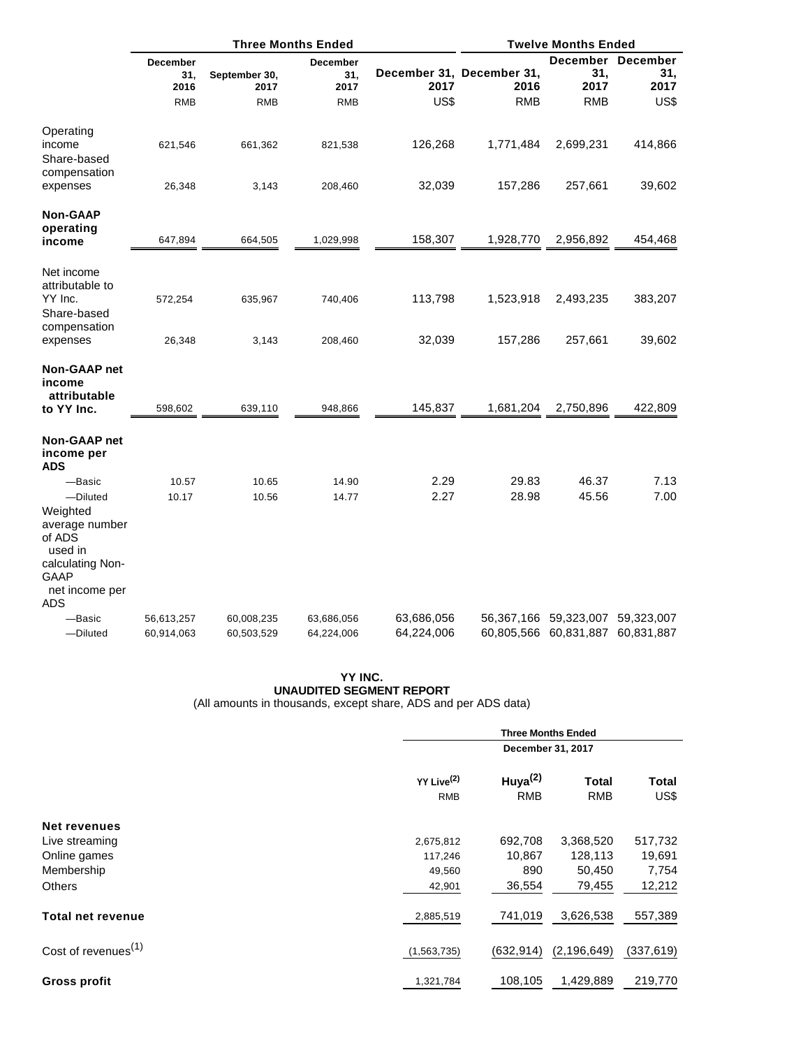|                                                                                                                            | <b>Three Months Ended</b>                    |                                     |                                              |                          | <b>Twelve Months Ended</b>                      |                                                           |                                          |
|----------------------------------------------------------------------------------------------------------------------------|----------------------------------------------|-------------------------------------|----------------------------------------------|--------------------------|-------------------------------------------------|-----------------------------------------------------------|------------------------------------------|
|                                                                                                                            | <b>December</b><br>31,<br>2016<br><b>RMB</b> | September 30,<br>2017<br><b>RMB</b> | <b>December</b><br>31,<br>2017<br><b>RMB</b> | 2017<br>US\$             | December 31, December 31,<br>2016<br><b>RMB</b> | 31,<br>2017<br><b>RMB</b>                                 | December December<br>31,<br>2017<br>US\$ |
| Operating<br>income<br>Share-based<br>compensation                                                                         | 621,546                                      | 661,362                             | 821,538                                      | 126,268                  | 1,771,484                                       | 2,699,231                                                 | 414,866                                  |
| expenses                                                                                                                   | 26,348                                       | 3,143                               | 208,460                                      | 32,039                   | 157,286                                         | 257,661                                                   | 39,602                                   |
| <b>Non-GAAP</b><br>operating<br>income                                                                                     | 647,894                                      | 664,505                             | 1,029,998                                    | 158,307                  | 1,928,770                                       | 2,956,892                                                 | 454,468                                  |
| Net income<br>attributable to<br>YY Inc.<br>Share-based                                                                    | 572,254                                      | 635,967                             | 740,406                                      | 113,798                  | 1,523,918                                       | 2,493,235                                                 | 383,207                                  |
| compensation<br>expenses                                                                                                   | 26,348                                       | 3,143                               | 208,460                                      | 32,039                   | 157,286                                         | 257,661                                                   | 39,602                                   |
| Non-GAAP net<br>income<br>attributable<br>to YY Inc.                                                                       | 598,602                                      | 639,110                             | 948,866                                      | 145,837                  | 1,681,204                                       | 2,750,896                                                 | 422,809                                  |
| Non-GAAP net<br>income per<br><b>ADS</b>                                                                                   |                                              |                                     |                                              |                          |                                                 |                                                           |                                          |
| -Basic<br>-Diluted<br>Weighted<br>average number<br>of ADS<br>used in<br>calculating Non-<br>GAAP<br>net income per<br>ADS | 10.57<br>10.17                               | 10.65<br>10.56                      | 14.90<br>14.77                               | 2.29<br>2.27             | 29.83<br>28.98                                  | 46.37<br>45.56                                            | 7.13<br>7.00                             |
| -Basic<br>-Diluted                                                                                                         | 56,613,257<br>60,914,063                     | 60,008,235<br>60,503,529            | 63,686,056<br>64,224,006                     | 63,686,056<br>64,224,006 |                                                 | 56,367,166 59,323,007 59,323,007<br>60,805,566 60,831,887 | 60,831,887                               |

#### **YY INC. UNAUDITED SEGMENT REPORT** (All amounts in thousands, except share, ADS and per ADS data)

|                                 |                                      | <b>Three Months Ended</b> |                            |               |  |  |  |
|---------------------------------|--------------------------------------|---------------------------|----------------------------|---------------|--|--|--|
|                                 |                                      | December 31, 2017         |                            |               |  |  |  |
|                                 | YY Live <sup>(2)</sup><br><b>RMB</b> | Huya $(2)$<br><b>RMB</b>  | <b>Total</b><br><b>RMB</b> | Total<br>US\$ |  |  |  |
| <b>Net revenues</b>             |                                      |                           |                            |               |  |  |  |
| Live streaming                  | 2,675,812                            | 692,708                   | 3,368,520                  | 517,732       |  |  |  |
| Online games                    | 117,246                              | 10,867                    | 128,113                    | 19,691        |  |  |  |
| Membership                      | 49,560                               | 890                       | 50,450                     | 7,754         |  |  |  |
| Others                          | 42,901                               | 36,554                    | 79,455                     | 12,212        |  |  |  |
| <b>Total net revenue</b>        | 2,885,519                            | 741,019                   | 3,626,538                  | 557,389       |  |  |  |
| Cost of revenues <sup>(1)</sup> | (1,563,735)                          | (632, 914)                | (2, 196, 649)              | (337, 619)    |  |  |  |
| <b>Gross profit</b>             | 1,321,784                            | 108,105                   | 1,429,889                  | 219,770       |  |  |  |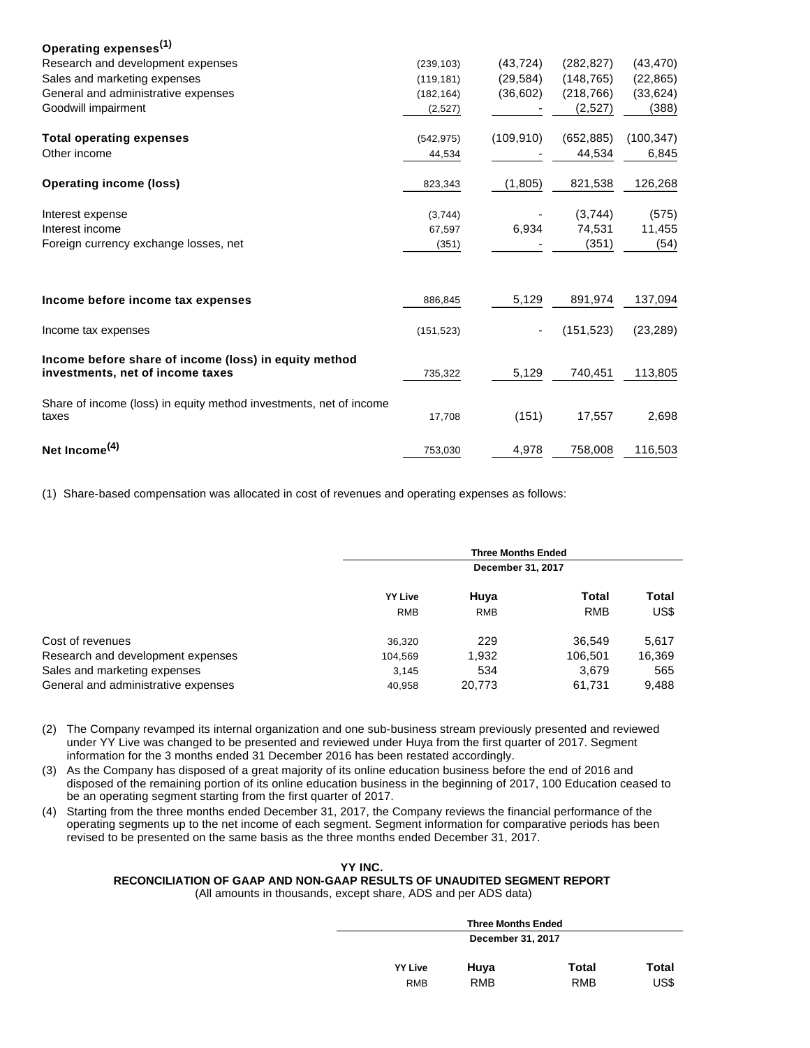| Operating expenses <sup>(1)</sup>                                                         |            |            |            |            |
|-------------------------------------------------------------------------------------------|------------|------------|------------|------------|
| Research and development expenses                                                         | (239, 103) | (43, 724)  | (282, 827) | (43, 470)  |
| Sales and marketing expenses                                                              | (119, 181) | (29, 584)  | (148, 765) | (22, 865)  |
| General and administrative expenses                                                       | (182, 164) | (36,602)   | (218, 766) | (33, 624)  |
| Goodwill impairment                                                                       | (2,527)    |            | (2,527)    | (388)      |
| <b>Total operating expenses</b>                                                           | (542, 975) | (109, 910) | (652, 885) | (100, 347) |
| Other income                                                                              | 44,534     |            | 44,534     | 6,845      |
| <b>Operating income (loss)</b>                                                            | 823,343    | (1,805)    | 821,538    | 126,268    |
| Interest expense                                                                          | (3,744)    |            | (3,744)    | (575)      |
| Interest income                                                                           | 67,597     | 6,934      | 74,531     | 11,455     |
| Foreign currency exchange losses, net                                                     | (351)      |            | (351)      | (54)       |
|                                                                                           |            |            |            |            |
| Income before income tax expenses                                                         | 886,845    | 5,129      | 891,974    | 137,094    |
| Income tax expenses                                                                       | (151, 523) | ٠          | (151, 523) | (23, 289)  |
| Income before share of income (loss) in equity method<br>investments, net of income taxes | 735,322    | 5,129      | 740,451    | 113,805    |
| Share of income (loss) in equity method investments, net of income<br>taxes               | 17,708     | (151)      | 17,557     | 2,698      |
| Net Income <sup>(4)</sup>                                                                 | 753,030    | 4,978      | 758,008    | 116,503    |

(1) Share-based compensation was allocated in cost of revenues and operating expenses as follows:

|                                     |                | <b>Three Months Ended</b> |                     |               |
|-------------------------------------|----------------|---------------------------|---------------------|---------------|
|                                     |                | December 31, 2017         |                     |               |
|                                     | <b>YY Live</b> | Huya<br><b>RMB</b>        | Total<br><b>RMB</b> | Total<br>US\$ |
|                                     | <b>RMB</b>     |                           |                     |               |
| Cost of revenues                    | 36,320         | 229                       | 36.549              | 5,617         |
| Research and development expenses   | 104,569        | 1.932                     | 106.501             | 16,369        |
| Sales and marketing expenses        | 3,145          | 534                       | 3.679               | 565           |
| General and administrative expenses | 40,958         | 20,773                    | 61,731              | 9,488         |

- (2) The Company revamped its internal organization and one sub-business stream previously presented and reviewed under YY Live was changed to be presented and reviewed under Huya from the first quarter of 2017. Segment information for the 3 months ended 31 December 2016 has been restated accordingly.
- (3) As the Company has disposed of a great majority of its online education business before the end of 2016 and disposed of the remaining portion of its online education business in the beginning of 2017, 100 Education ceased to be an operating segment starting from the first quarter of 2017.
- (4) Starting from the three months ended December 31, 2017, the Company reviews the financial performance of the operating segments up to the net income of each segment. Segment information for comparative periods has been revised to be presented on the same basis as the three months ended December 31, 2017.

# **YY INC.**

**RECONCILIATION OF GAAP AND NON-GAAP RESULTS OF UNAUDITED SEGMENT REPORT**

(All amounts in thousands, except share, ADS and per ADS data)

|                | <b>Three Months Ended</b> |       |       |
|----------------|---------------------------|-------|-------|
|                | December 31, 2017         |       |       |
| <b>YY Live</b> | Huya                      | Total | Total |
| RMB            | <b>RMB</b>                | RMB   | US\$  |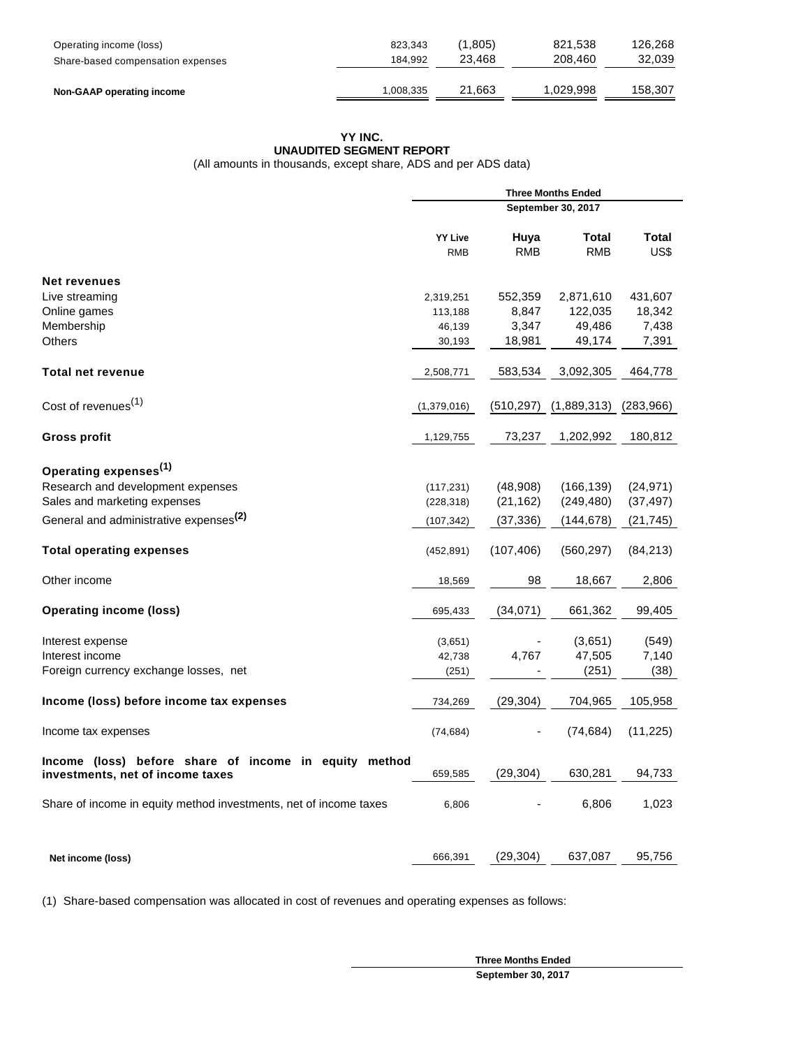| Operating income (loss)           | 823.343   | (1.805) | 821.538   | 126.268 |
|-----------------------------------|-----------|---------|-----------|---------|
| Share-based compensation expenses | 184.992   | 23.468  | 208,460   | 32.039  |
| Non-GAAP operating income         | 1.008.335 | 21.663  | 1.029.998 | 158.307 |

# **YY INC. UNAUDITED SEGMENT REPORT**

(All amounts in thousands, except share, ADS and per ADS data)

|                                                                                           |                |            | <b>Three Months Ended</b> |            |
|-------------------------------------------------------------------------------------------|----------------|------------|---------------------------|------------|
|                                                                                           |                |            | September 30, 2017        |            |
|                                                                                           | <b>YY Live</b> | Huya       | Total                     | Total      |
|                                                                                           | <b>RMB</b>     | <b>RMB</b> | <b>RMB</b>                | US\$       |
| <b>Net revenues</b>                                                                       |                |            |                           |            |
| Live streaming                                                                            | 2,319,251      | 552,359    | 2,871,610                 | 431,607    |
| Online games                                                                              | 113,188        | 8,847      | 122,035                   | 18,342     |
| Membership                                                                                | 46,139         | 3,347      | 49,486                    | 7,438      |
| <b>Others</b>                                                                             | 30,193         | 18,981     | 49,174                    | 7,391      |
| <b>Total net revenue</b>                                                                  | 2,508,771      | 583,534    | 3,092,305                 | 464,778    |
| Cost of revenues <sup>(1)</sup>                                                           | (1,379,016)    | (510, 297) | (1,889,313)               | (283, 966) |
| <b>Gross profit</b>                                                                       | 1,129,755      | 73,237     | 1,202,992                 | 180,812    |
|                                                                                           |                |            |                           |            |
| Operating expenses <sup>(1)</sup>                                                         |                |            |                           |            |
| Research and development expenses                                                         | (117, 231)     | (48,908)   | (166, 139)                | (24, 971)  |
| Sales and marketing expenses                                                              | (228, 318)     | (21, 162)  | (249, 480)                | (37, 497)  |
| General and administrative expenses <sup>(2)</sup>                                        | (107, 342)     | (37, 336)  | (144, 678)                | (21, 745)  |
| <b>Total operating expenses</b>                                                           | (452, 891)     | (107, 406) | (560, 297)                | (84, 213)  |
| Other income                                                                              | 18,569         | 98         | 18,667                    | 2,806      |
| <b>Operating income (loss)</b>                                                            | 695,433        | (34, 071)  | 661,362                   | 99,405     |
| Interest expense                                                                          | (3,651)        |            | (3,651)                   | (549)      |
| Interest income                                                                           | 42,738         | 4,767      | 47,505                    | 7,140      |
| Foreign currency exchange losses, net                                                     | (251)          |            | (251)                     | (38)       |
| Income (loss) before income tax expenses                                                  | 734,269        | (29, 304)  | 704,965                   | 105,958    |
| Income tax expenses                                                                       | (74, 684)      |            | (74, 684)                 | (11, 225)  |
| Income (loss) before share of income in equity method<br>investments, net of income taxes | 659,585        | (29, 304)  | 630,281                   | 94,733     |
| Share of income in equity method investments, net of income taxes                         | 6,806          |            | 6,806                     | 1,023      |
| Net income (loss)                                                                         | 666,391        | (29, 304)  | 637,087                   | 95,756     |
|                                                                                           |                |            |                           |            |

(1) Share-based compensation was allocated in cost of revenues and operating expenses as follows:

**Three Months Ended September 30, 2017**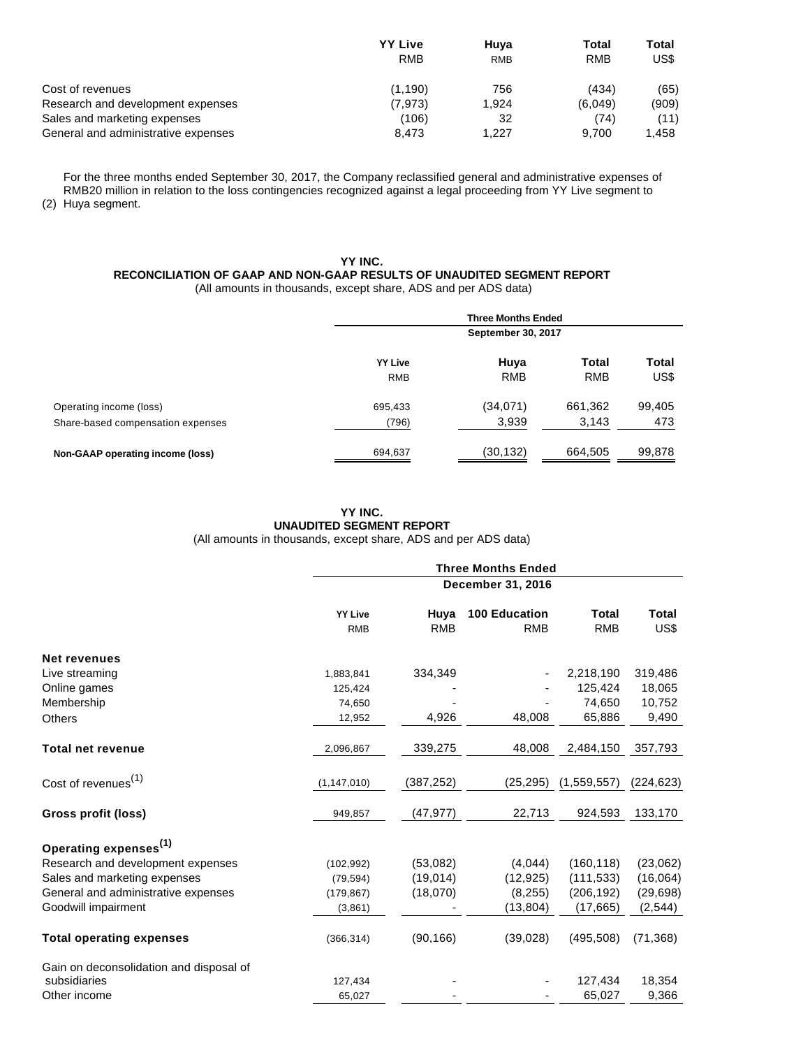|                                     | <b>YY Live</b> | Huva       | <b>Total</b> | Total |
|-------------------------------------|----------------|------------|--------------|-------|
|                                     | <b>RMB</b>     | <b>RMB</b> | <b>RMB</b>   | US\$  |
| Cost of revenues                    | (1.190)        | 756        | (434)        | (65)  |
| Research and development expenses   | (7.973)        | 1.924      | (6.049)      | (909) |
| Sales and marketing expenses        | (106)          | 32         | (74)         | (11)  |
| General and administrative expenses | 8.473          | 1.227      | 9.700        | 1.458 |

(2) Huya segment. For the three months ended September 30, 2017, the Company reclassified general and administrative expenses of RMB20 million in relation to the loss contingencies recognized against a legal proceeding from YY Live segment to

## **YY INC. RECONCILIATION OF GAAP AND NON-GAAP RESULTS OF UNAUDITED SEGMENT REPORT** (All amounts in thousands, except share, ADS and per ADS data)

|                                   |                | <b>Three Months Ended</b><br>September 30, 2017 |              |        |  |
|-----------------------------------|----------------|-------------------------------------------------|--------------|--------|--|
|                                   | <b>YY Live</b> | Huya                                            | <b>Total</b> | Total  |  |
|                                   | <b>RMB</b>     | <b>RMB</b>                                      | <b>RMB</b>   | US\$   |  |
| Operating income (loss)           | 695,433        | (34,071)                                        | 661,362      | 99,405 |  |
| Share-based compensation expenses | (796)          | 3,939                                           | 3,143        | 473    |  |
| Non-GAAP operating income (loss)  | 694,637        | (30,132)                                        | 664,505      | 99,878 |  |

## **YY INC. UNAUDITED SEGMENT REPORT** (All amounts in thousands, except share, ADS and per ADS data)

|                                         | <b>Three Months Ended</b><br>December 31, 2016 |                    |                                    |                            |                      |  |
|-----------------------------------------|------------------------------------------------|--------------------|------------------------------------|----------------------------|----------------------|--|
|                                         |                                                |                    |                                    |                            |                      |  |
|                                         | <b>YY Live</b><br><b>RMB</b>                   | Huya<br><b>RMB</b> | <b>100 Education</b><br><b>RMB</b> | <b>Total</b><br><b>RMB</b> | <b>Total</b><br>US\$ |  |
| Net revenues                            |                                                |                    |                                    |                            |                      |  |
| Live streaming                          | 1,883,841                                      | 334,349            |                                    | 2,218,190                  | 319,486              |  |
| Online games                            | 125,424                                        |                    |                                    | 125,424                    | 18,065               |  |
| Membership                              | 74,650                                         |                    |                                    | 74,650                     | 10,752               |  |
| Others                                  | 12,952                                         | 4,926              | 48,008                             | 65,886                     | 9,490                |  |
| Total net revenue                       | 2,096,867                                      | 339,275            | 48,008                             | 2,484,150                  | 357,793              |  |
| Cost of revenues <sup>(1)</sup>         | (1, 147, 010)                                  | (387, 252)         | (25, 295)                          | (1,559,557)                | (224, 623)           |  |
| Gross profit (loss)                     | 949,857                                        | (47, 977)          | 22,713                             | 924,593                    | 133,170              |  |
| Operating expenses <sup>(1)</sup>       |                                                |                    |                                    |                            |                      |  |
| Research and development expenses       | (102, 992)                                     | (53,082)           | (4,044)                            | (160, 118)                 | (23,062)             |  |
| Sales and marketing expenses            | (79, 594)                                      | (19,014)           | (12, 925)                          | (111, 533)                 | (16,064)             |  |
| General and administrative expenses     | (179, 867)                                     | (18,070)           | (8, 255)                           | (206, 192)                 | (29, 698)            |  |
| Goodwill impairment                     | (3,861)                                        |                    | (13, 804)                          | (17, 665)                  | (2, 544)             |  |
| <b>Total operating expenses</b>         | (366, 314)                                     | (90, 166)          | (39,028)                           | (495, 508)                 | (71, 368)            |  |
| Gain on deconsolidation and disposal of |                                                |                    |                                    |                            |                      |  |
| subsidiaries                            | 127,434                                        |                    |                                    | 127,434                    | 18,354               |  |
| Other income                            | 65,027                                         |                    |                                    | 65,027                     | 9,366                |  |